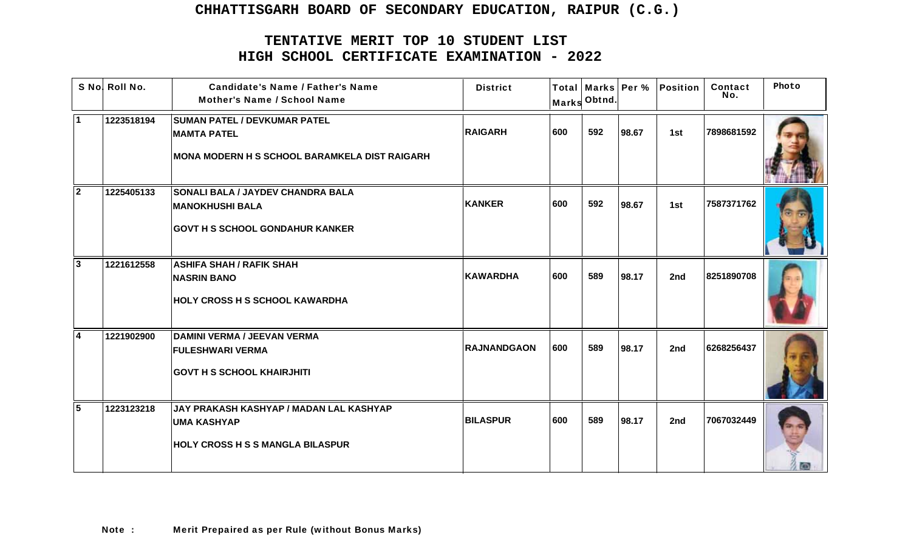|                         | S No! Roll No. | <b>Candidate's Name / Father's Name</b><br><b>Mother's Name / School Name</b>                                | <b>District</b>    |     | Marks Obtnd. |       | Total   Marks   Per %   Position | Contact<br>No. | Photo |
|-------------------------|----------------|--------------------------------------------------------------------------------------------------------------|--------------------|-----|--------------|-------|----------------------------------|----------------|-------|
| $\blacktriangleleft$    | 1223518194     | <b>SUMAN PATEL / DEVKUMAR PATEL</b><br><b>MAMTA PATEL</b><br>MONA MODERN H S SCHOOL BARAMKELA DIST RAIGARH   | <b>RAIGARH</b>     | 600 | 592          | 98.67 | 1st                              | 7898681592     |       |
| $\overline{2}$          | 1225405133     | <b>SONALI BALA / JAYDEV CHANDRA BALA</b><br><b>MANOKHUSHI BALA</b><br><b>GOVT H S SCHOOL GONDAHUR KANKER</b> | <b>KANKER</b>      | 600 | 592          | 98.67 | 1st                              | 7587371762     |       |
| $\mathbf{3}$            | 1221612558     | <b>ASHIFA SHAH / RAFIK SHAH</b><br><b>NASRIN BANO</b><br><b>HOLY CROSS H S SCHOOL KAWARDHA</b>               | <b>KAWARDHA</b>    | 600 | 589          | 98.17 | 2nd                              | 8251890708     |       |
| $\overline{\mathbf{4}}$ | 1221902900     | DAMINI VERMA / JEEVAN VERMA<br><b>FULESHWARI VERMA</b><br><b>GOVT H S SCHOOL KHAIRJHITI</b>                  | <b>RAJNANDGAON</b> | 600 | 589          | 98.17 | 2nd                              | 6268256437     |       |
| $\overline{5}$          | 1223123218     | JAY PRAKASH KASHYAP / MADAN LAL KASHYAP<br><b>UMA KASHYAP</b><br><b>HOLY CROSS H S S MANGLA BILASPUR</b>     | <b>BILASPUR</b>    | 600 | 589          | 98.17 | 2nd                              | 7067032449     |       |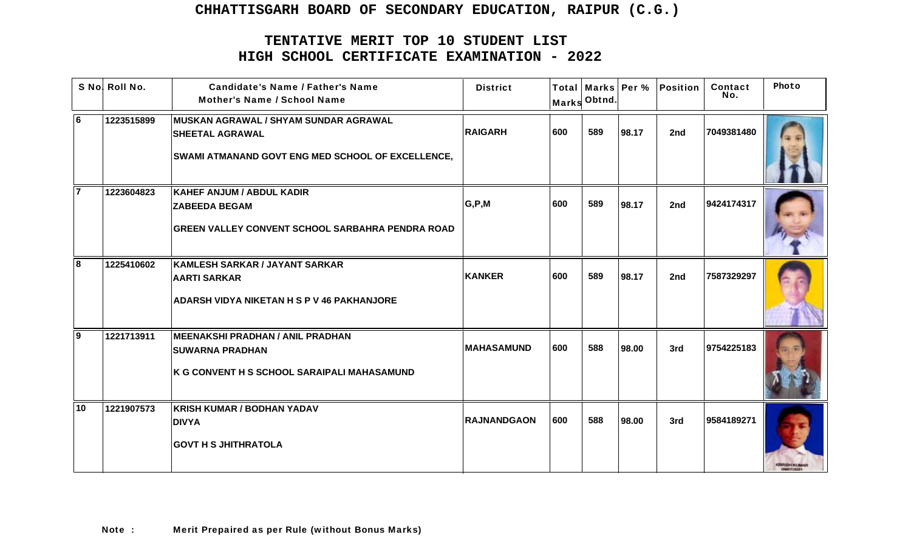|                | S No! Roll No. | <b>Candidate's Name / Father's Name</b><br><b>Mother's Name / School Name</b>                                                      | <b>District</b>    |     | Marks Obtnd. |       | Total   Marks   Per %   Position | Contact<br>No. | Photo |
|----------------|----------------|------------------------------------------------------------------------------------------------------------------------------------|--------------------|-----|--------------|-------|----------------------------------|----------------|-------|
| $\overline{6}$ | 1223515899     | <b>MUSKAN AGRAWAL / SHYAM SUNDAR AGRAWAL</b><br><b>SHEETAL AGRAWAL</b><br><b>SWAMI ATMANAND GOVT ENG MED SCHOOL OF EXCELLENCE,</b> | <b>RAIGARH</b>     | 600 | 589          | 98.17 | 2nd                              | 7049381480     |       |
|                | 1223604823     | <b>KAHEF ANJUM / ABDUL KADIR</b><br><b>ZABEEDA BEGAM</b><br><b>GREEN VALLEY CONVENT SCHOOL SARBAHRA PENDRA ROAD</b>                | G, P, M            | 600 | 589          | 98.17 | 2nd                              | 9424174317     |       |
| 8              | 1225410602     | KAMLESH SARKAR / JAYANT SARKAR<br><b>AARTI SARKAR</b><br><b>ADARSH VIDYA NIKETAN H S P V 46 PAKHANJORE</b>                         | <b>KANKER</b>      | 600 | 589          | 98.17 | 2nd                              | 7587329297     |       |
| <b>9</b>       | 1221713911     | MEENAKSHI PRADHAN / ANIL PRADHAN<br><b>SUWARNA PRADHAN</b><br>K G CONVENT H S SCHOOL SARAIPALI MAHASAMUND                          | <b>MAHASAMUND</b>  | 600 | 588          | 98.00 | 3rd                              | 9754225183     |       |
| 10             | 1221907573     | <b>KRISH KUMAR / BODHAN YADAV</b><br><b>DIVYA</b><br><b>GOVT H S JHITHRATOLA</b>                                                   | <b>RAJNANDGAON</b> | 600 | 588          | 98.00 | 3rd                              | 9584189271     |       |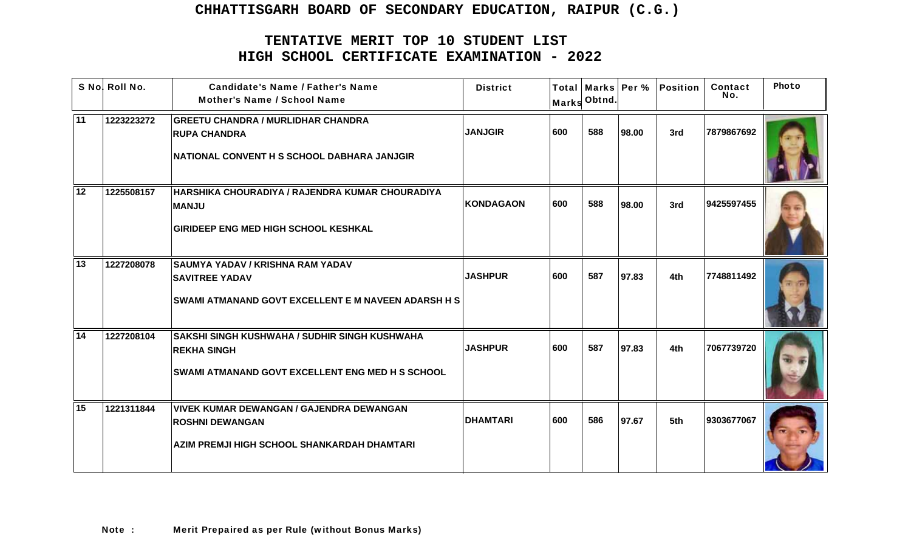|                 | S No! Roll No. | <b>Candidate's Name / Father's Name</b><br>Mother's Name / School Name                                                         | <b>District</b> |     | Marks Obtnd. |       | Total   Marks   Per %   Position | Contact<br>No. | Photo |
|-----------------|----------------|--------------------------------------------------------------------------------------------------------------------------------|-----------------|-----|--------------|-------|----------------------------------|----------------|-------|
| 11              | 1223223272     | <b>GREETU CHANDRA / MURLIDHAR CHANDRA</b><br><b>RUPA CHANDRA</b><br>NATIONAL CONVENT H S SCHOOL DABHARA JANJGIR                | <b>JANJGIR</b>  | 600 | 588          | 98.00 | 3rd                              | 7879867692     |       |
| 12              | 1225508157     | HARSHIKA CHOURADIYA / RAJENDRA KUMAR CHOURADIYA<br><b>MANJU</b><br><b>GIRIDEEP ENG MED HIGH SCHOOL KESHKAL</b>                 | KONDAGAON       | 600 | 588          | 98.00 | 3rd                              | 9425597455     |       |
| 13              | 1227208078     | <b>SAUMYA YADAV / KRISHNA RAM YADAV</b><br><b>SAVITREE YADAV</b><br><b>SWAMI ATMANAND GOVT EXCELLENT E M NAVEEN ADARSH H S</b> | <b>JASHPUR</b>  | 600 | 587          | 97.83 | 4th                              | 7748811492     |       |
| $\overline{14}$ | 1227208104     | SAKSHI SINGH KUSHWAHA / SUDHIR SINGH KUSHWAHA<br><b>REKHA SINGH</b><br><b>SWAMI ATMANAND GOVT EXCELLENT ENG MED H S SCHOOL</b> | <b>JASHPUR</b>  | 600 | 587          | 97.83 | 4th                              | 7067739720     |       |
| 15              | 1221311844     | <b>VIVEK KUMAR DEWANGAN / GAJENDRA DEWANGAN</b><br><b>ROSHNI DEWANGAN</b><br>AZIM PREMJI HIGH SCHOOL SHANKARDAH DHAMTARI       | <b>DHAMTARI</b> | 600 | 586          | 97.67 | 5th                              | 9303677067     |       |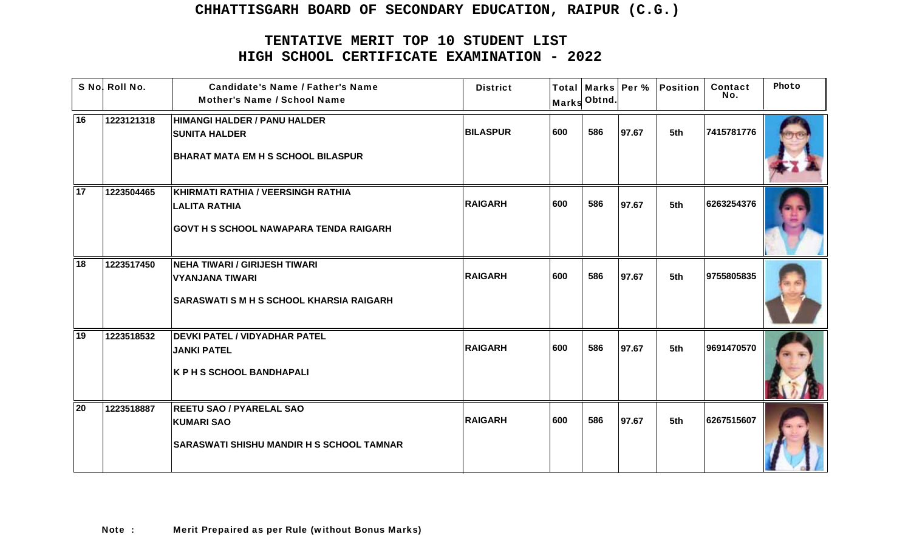|    | S No! Roll No. | <b>Candidate's Name / Father's Name</b><br><b>Mother's Name / School Name</b>                               | <b>District</b> |     | Marks Obtnd. |       | Total   Marks   Per %   Position | Contact<br>No. | Photo |
|----|----------------|-------------------------------------------------------------------------------------------------------------|-----------------|-----|--------------|-------|----------------------------------|----------------|-------|
| 16 | 1223121318     | HIMANGI HALDER / PANU HALDER<br><b>SUNITA HALDER</b><br><b>BHARAT MATA EM H S SCHOOL BILASPUR</b>           | <b>BILASPUR</b> | 600 | 586          | 97.67 | 5th                              | 7415781776     |       |
| 17 | 1223504465     | KHIRMATI RATHIA / VEERSINGH RATHIA<br><b>LALITA RATHIA</b><br><b>GOVT H S SCHOOL NAWAPARA TENDA RAIGARH</b> | <b>RAIGARH</b>  | 600 | 586          | 97.67 | 5th                              | 6263254376     |       |
| 18 | 1223517450     | NEHA TIWARI / GIRIJESH TIWARI<br><b>VYANJANA TIWARI</b><br><b>SARASWATI S M H S SCHOOL KHARSIA RAIGARH</b>  | <b>RAIGARH</b>  | 600 | 586          | 97.67 | 5th                              | 9755805835     |       |
| 19 | 1223518532     | <b>DEVKI PATEL / VIDYADHAR PATEL</b><br><b>JANKI PATEL</b><br><b>K P H S SCHOOL BANDHAPALI</b>              | <b>RAIGARH</b>  | 600 | 586          | 97.67 | 5th                              | 9691470570     |       |
| 20 | 1223518887     | <b>REETU SAO / PYARELAL SAO</b><br><b>KUMARI SAO</b><br><b>SARASWATI SHISHU MANDIR H S SCHOOL TAMNAR</b>    | <b>RAIGARH</b>  | 600 | 586          | 97.67 | 5th                              | 6267515607     |       |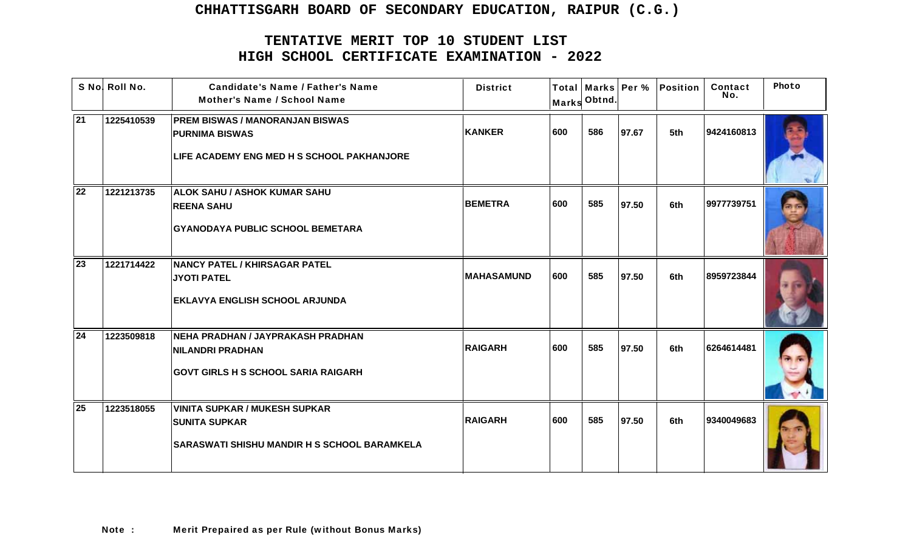|                 | S No! Roll No. | <b>Candidate's Name / Father's Name</b><br><b>Mother's Name / School Name</b>                                        | <b>District</b>   |     | Marks Obtnd. |       | Total   Marks   Per %   Position | Contact<br>No. | Photo |
|-----------------|----------------|----------------------------------------------------------------------------------------------------------------------|-------------------|-----|--------------|-------|----------------------------------|----------------|-------|
| $\overline{21}$ | 1225410539     | <b>PREM BISWAS / MANORANJAN BISWAS</b><br><b>PURNIMA BISWAS</b><br><b>LIFE ACADEMY ENG MED H S SCHOOL PAKHANJORE</b> | KANKER            | 600 | 586          | 97.67 | 5th                              | 9424160813     |       |
| 22              | 1221213735     | <b>ALOK SAHU / ASHOK KUMAR SAHU</b><br><b>REENA SAHU</b><br><b>GYANODAYA PUBLIC SCHOOL BEMETARA</b>                  | <b>BEMETRA</b>    | 600 | 585          | 97.50 | 6th                              | 9977739751     |       |
| 23              | 1221714422     | NANCY PATEL / KHIRSAGAR PATEL<br><b>JYOTI PATEL</b><br><b>EKLAVYA ENGLISH SCHOOL ARJUNDA</b>                         | <b>MAHASAMUND</b> | 600 | 585          | 97.50 | 6th                              | 8959723844     |       |
| 24              | 1223509818     | NEHA PRADHAN / JAYPRAKASH PRADHAN<br><b>NILANDRI PRADHAN</b><br><b>GOVT GIRLS H S SCHOOL SARIA RAIGARH</b>           | <b>RAIGARH</b>    | 600 | 585          | 97.50 | 6th                              | 6264614481     |       |
| 25              | 1223518055     | <b>VINITA SUPKAR / MUKESH SUPKAR</b><br><b>SUNITA SUPKAR</b><br> SARASWATI SHISHU MANDIR H S SCHOOL BARAMKELA        | <b>RAIGARH</b>    | 600 | 585          | 97.50 | 6th                              | 9340049683     |       |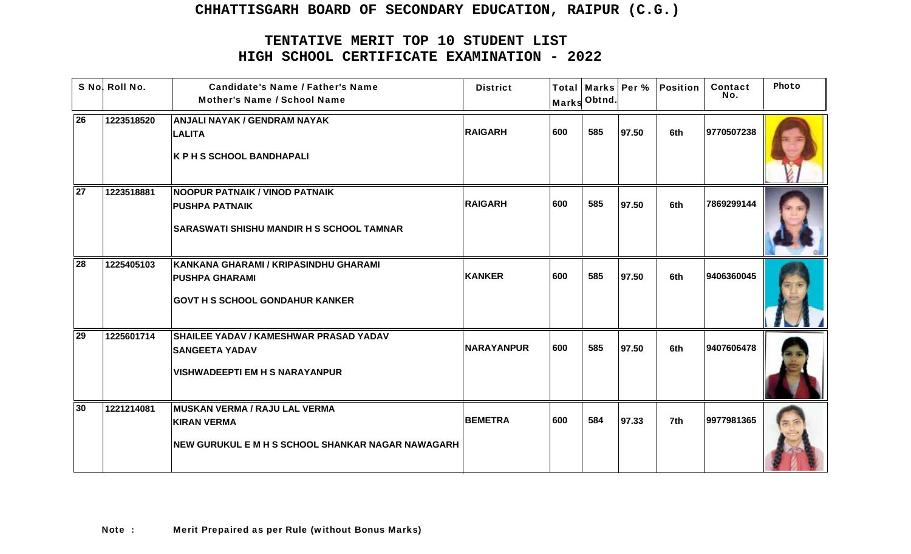|                 | S No! Roll No. | <b>Candidate's Name / Father's Name</b><br><b>Mother's Name / School Name</b>                                      | <b>District</b>   |     | Marks Obtnd. |       | Total   Marks   Per %   Position | Contact<br>No. | Photo |
|-----------------|----------------|--------------------------------------------------------------------------------------------------------------------|-------------------|-----|--------------|-------|----------------------------------|----------------|-------|
| 26              | 1223518520     | <b>ANJALI NAYAK / GENDRAM NAYAK</b><br><b>LALITA</b><br><b>K P H S SCHOOL BANDHAPALI</b>                           | <b>RAIGARH</b>    | 600 | 585          | 97.50 | 6th                              | 9770507238     |       |
| $\overline{27}$ | 1223518881     | <b>NOOPUR PATNAIK / VINOD PATNAIK</b><br><b>PUSHPA PATNAIK</b><br><b>SARASWATI SHISHU MANDIR H S SCHOOL TAMNAR</b> | <b>RAIGARH</b>    | 600 | 585          | 97.50 | 6th                              | 7869299144     |       |
| 28              | 1225405103     | KANKANA GHARAMI / KRIPASINDHU GHARAMI<br><b>PUSHPA GHARAMI</b><br><b>GOVT H S SCHOOL GONDAHUR KANKER</b>           | <b>KANKER</b>     | 600 | 585          | 97.50 | 6th                              | 9406360045     |       |
| 29              | 1225601714     | <b>SHAILEE YADAV / KAMESHWAR PRASAD YADAV</b><br><b>SANGEETA YADAV</b><br><b>VISHWADEEPTI EM H S NARAYANPUR</b>    | <b>NARAYANPUR</b> | 600 | 585          | 97.50 | 6th                              | 9407606478     |       |
| 30              | 1221214081     | MUSKAN VERMA / RAJU LAL VERMA<br>KIRAN VERMA<br><b>NEW GURUKUL E M H S SCHOOL SHANKAR NAGAR NAWAGARH</b>           | <b>BEMETRA</b>    | 600 | 584          | 97.33 | 7th                              | 9977981365     |       |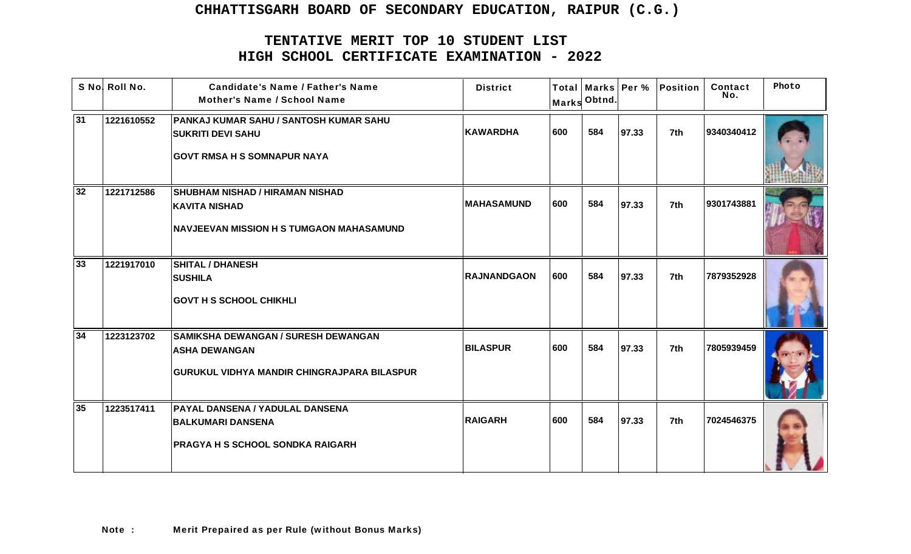|    | S No! Roll No. | <b>Candidate's Name / Father's Name</b><br><b>Mother's Name / School Name</b> | <b>District</b>    | <b>Marks</b> | Obtnd. |       | Total   Marks   Per %   Position | Contact<br>No. | Photo |
|----|----------------|-------------------------------------------------------------------------------|--------------------|--------------|--------|-------|----------------------------------|----------------|-------|
| 31 | 1221610552     | PANKAJ KUMAR SAHU / SANTOSH KUMAR SAHU<br><b>SUKRITI DEVI SAHU</b>            | <b>KAWARDHA</b>    | 600          | 584    | 97.33 | 7th                              | 9340340412     |       |
|    |                | <b>GOVT RMSA H S SOMNAPUR NAYA</b>                                            |                    |              |        |       |                                  |                |       |
| 32 | 1221712586     | <b>SHUBHAM NISHAD / HIRAMAN NISHAD</b>                                        |                    |              |        |       |                                  |                |       |
|    |                | <b>KAVITA NISHAD</b>                                                          | <b>MAHASAMUND</b>  | 600          | 584    | 97.33 | 7th                              | 9301743881     |       |
|    |                | NAVJEEVAN MISSION H S TUMGAON MAHASAMUND                                      |                    |              |        |       |                                  |                |       |
| 33 | 1221917010     | <b>SHITAL / DHANESH</b>                                                       |                    |              |        |       |                                  |                |       |
|    |                | <b>SUSHILA</b>                                                                | <b>RAJNANDGAON</b> | 600          | 584    | 97.33 | 7th                              | 7879352928     |       |
|    |                | <b>GOVT H S SCHOOL CHIKHLI</b>                                                |                    |              |        |       |                                  |                |       |
| 34 | 1223123702     | <b>SAMIKSHA DEWANGAN / SURESH DEWANGAN</b>                                    |                    |              |        |       |                                  |                |       |
|    |                | <b>ASHA DEWANGAN</b>                                                          | <b>BILASPUR</b>    | 600          | 584    | 97.33 | 7th                              | 7805939459     |       |
|    |                | GURUKUL VIDHYA MANDIR CHINGRAJPARA BILASPUR                                   |                    |              |        |       |                                  |                |       |
| 35 | 1223517411     | <b>PAYAL DANSENA / YADULAL DANSENA</b>                                        |                    |              |        |       |                                  |                |       |
|    |                | <b>BALKUMARI DANSENA</b>                                                      | <b>RAIGARH</b>     | 600          | 584    | 97.33 | 7th                              | 7024546375     |       |
|    |                | <b>PRAGYA H S SCHOOL SONDKA RAIGARH</b>                                       |                    |              |        |       |                                  |                |       |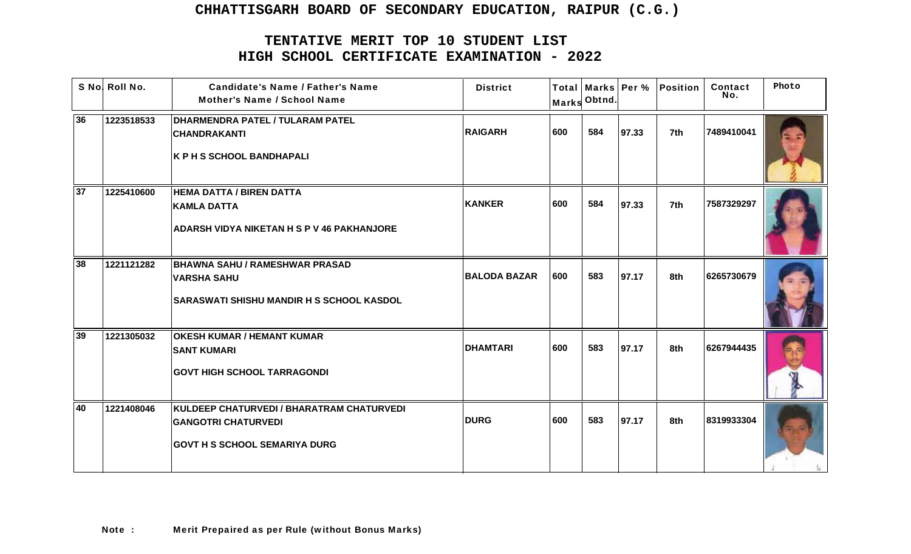|    | S No! Roll No. | <b>Candidate's Name / Father's Name</b><br><b>Mother's Name / School Name</b>                                   | <b>District</b> |     | Marks Obtnd. |       | Total   Marks   Per %   Position | Contact<br>No. | Photo |
|----|----------------|-----------------------------------------------------------------------------------------------------------------|-----------------|-----|--------------|-------|----------------------------------|----------------|-------|
| 36 | 1223518533     | <b>DHARMENDRA PATEL / TULARAM PATEL</b><br><b>CHANDRAKANTI</b><br><b>K P H S SCHOOL BANDHAPALI</b>              | <b>RAIGARH</b>  | 600 | 584          | 97.33 | 7th                              | 7489410041     |       |
| 37 | 1225410600     | <b>HEMA DATTA / BIREN DATTA</b>                                                                                 |                 |     |              |       |                                  |                |       |
|    |                | <b>KAMLA DATTA</b>                                                                                              | <b>KANKER</b>   | 600 | 584          | 97.33 | 7th                              | 7587329297     |       |
|    |                | <b>ADARSH VIDYA NIKETAN H S P V 46 PAKHANJORE</b>                                                               |                 |     |              |       |                                  |                |       |
| 38 | 1221121282     | <b>BHAWNA SAHU / RAMESHWAR PRASAD</b><br><b>VARSHA SAHU</b>                                                     | BALODA BAZAR    | 600 | 583          | 97.17 | 8th                              | 6265730679     |       |
|    |                | <b>SARASWATI SHISHU MANDIR H S SCHOOL KASDOL</b>                                                                |                 |     |              |       |                                  |                |       |
| 39 | 1221305032     | <b>OKESH KUMAR / HEMANT KUMAR</b><br><b>SANT KUMARI</b>                                                         | <b>DHAMTARI</b> | 600 | 583          | 97.17 | 8th                              | 6267944435     |       |
|    |                | <b>GOVT HIGH SCHOOL TARRAGONDI</b>                                                                              |                 |     |              |       |                                  |                |       |
| 40 | 1221408046     | KULDEEP CHATURVEDI / BHARATRAM CHATURVEDI<br><b>GANGOTRI CHATURVEDI</b><br><b>GOVT H S SCHOOL SEMARIYA DURG</b> | <b>DURG</b>     | 600 | 583          | 97.17 | 8th                              | 8319933304     |       |
|    |                |                                                                                                                 |                 |     |              |       |                                  |                |       |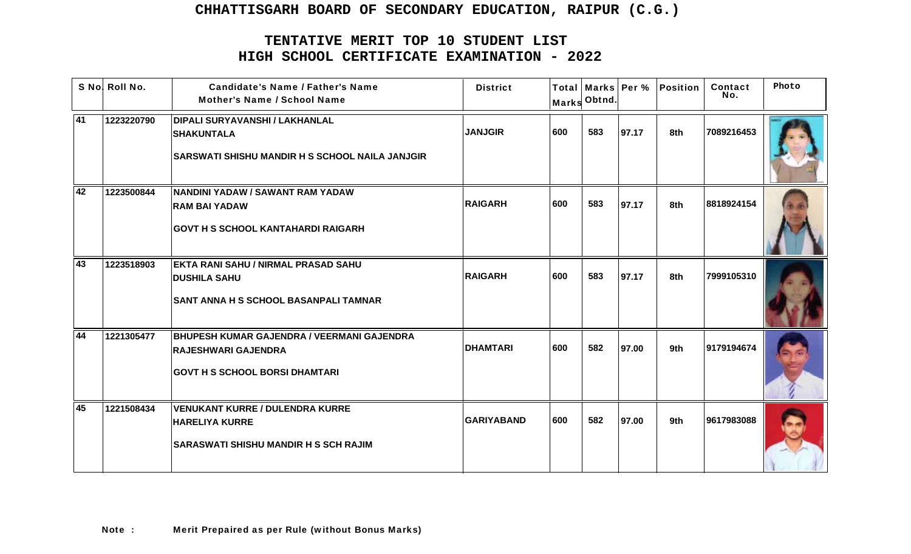|    | S No! Roll No. | <b>Candidate's Name / Father's Name</b><br><b>Mother's Name / School Name</b>                                        | <b>District</b>   |     | Marks Obtnd. |       | Total   Marks   Per %   Position | Contact<br>No. | Photo |
|----|----------------|----------------------------------------------------------------------------------------------------------------------|-------------------|-----|--------------|-------|----------------------------------|----------------|-------|
| 41 | 1223220790     | <b>DIPALI SURYAVANSHI / LAKHANLAL</b><br><b>SHAKUNTALA</b><br><b>SARSWATI SHISHU MANDIR H S SCHOOL NAILA JANJGIR</b> | <b>JANJGIR</b>    | 600 | 583          | 97.17 | 8th                              | 7089216453     |       |
| 42 | 1223500844     | NANDINI YADAW / SAWANT RAM YADAW<br><b>RAM BAI YADAW</b><br><b>GOVT H S SCHOOL KANTAHARDI RAIGARH</b>                | <b>RAIGARH</b>    | 600 | 583          | 97.17 | 8th                              | 8818924154     |       |
| 43 | 1223518903     | <b>EKTA RANI SAHU / NIRMAL PRASAD SAHU</b><br><b>DUSHILA SAHU</b><br><b>SANT ANNA H S SCHOOL BASANPALI TAMNAR</b>    | <b>RAIGARH</b>    | 600 | 583          | 97.17 | 8th                              | 7999105310     |       |
| 44 | 1221305477     | BHUPESH KUMAR GAJENDRA / VEERMANI GAJENDRA<br><b>RAJESHWARI GAJENDRA</b><br><b>GOVT H S SCHOOL BORSI DHAMTARI</b>    | <b>DHAMTARI</b>   | 600 | 582          | 97.00 | 9th                              | 9179194674     |       |
| 45 | 1221508434     | <b>VENUKANT KURRE / DULENDRA KURRE</b><br><b>HARELIYA KURRE</b><br><b>SARASWATI SHISHU MANDIR H S SCH RAJIM</b>      | <b>GARIYABAND</b> | 600 | 582          | 97.00 | 9th                              | 9617983088     |       |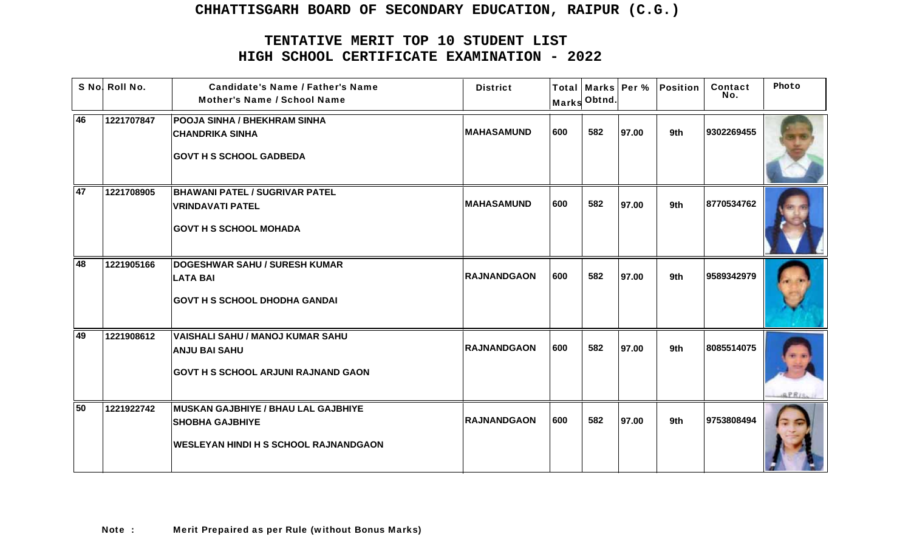|    | S No! Roll No. | <b>Candidate's Name / Father's Name</b><br><b>Mother's Name / School Name</b>                                 | <b>District</b>    |     | Marks Obtnd. |       | Total   Marks   Per %   Position | Contact<br>No. | Photo |
|----|----------------|---------------------------------------------------------------------------------------------------------------|--------------------|-----|--------------|-------|----------------------------------|----------------|-------|
| 46 | 1221707847     | <b>POOJA SINHA / BHEKHRAM SINHA</b><br><b>CHANDRIKA SINHA</b><br><b>GOVT H S SCHOOL GADBEDA</b>               | <b>MAHASAMUND</b>  | 600 | 582          | 97.00 | 9th                              | 9302269455     |       |
| 47 | 1221708905     | <b>BHAWANI PATEL / SUGRIVAR PATEL</b><br><b>VRINDAVATI PATEL</b><br><b>GOVT H S SCHOOL MOHADA</b>             | <b>MAHASAMUND</b>  | 600 | 582          | 97.00 | 9th                              | 8770534762     |       |
| 48 | 1221905166     | <b>DOGESHWAR SAHU / SURESH KUMAR</b><br><b>LATA BAI</b><br><b>GOVT H S SCHOOL DHODHA GANDAI</b>               | <b>RAJNANDGAON</b> | 600 | 582          | 97.00 | 9th                              | 9589342979     |       |
| 49 | 1221908612     | <b>VAISHALI SAHU / MANOJ KUMAR SAHU</b><br><b>ANJU BAI SAHU</b><br><b>GOVT H S SCHOOL ARJUNI RAJNAND GAON</b> | <b>RAJNANDGAON</b> | 600 | 582          | 97.00 | 9th                              | 8085514075     |       |
| 50 | 1221922742     | MUSKAN GAJBHIYE / BHAU LAL GAJBHIYE<br><b>SHOBHA GAJBHIYE</b><br><b>WESLEYAN HINDI H S SCHOOL RAJNANDGAON</b> | <b>RAJNANDGAON</b> | 600 | 582          | 97.00 | 9th                              | 9753808494     |       |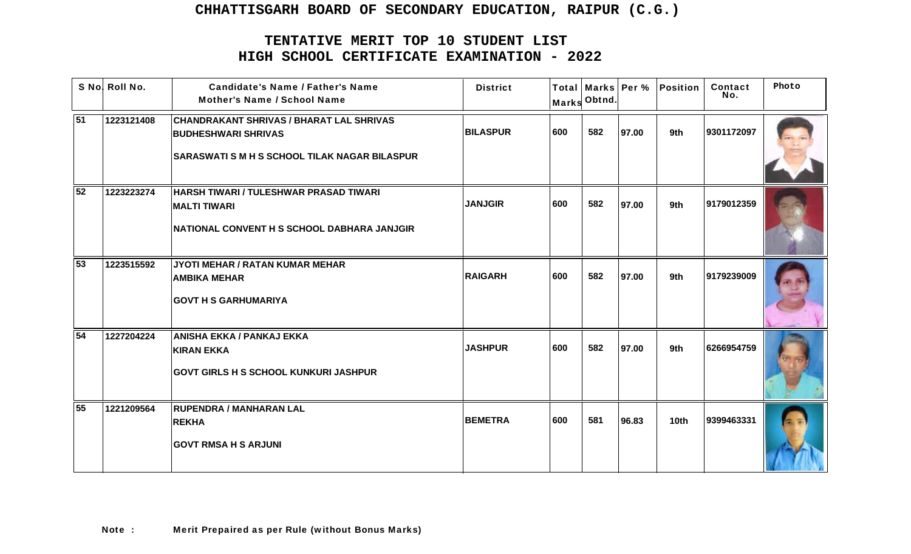|                 | S No! Roll No. | <b>Candidate's Name / Father's Name</b><br>Mother's Name / School Name                                                                | <b>District</b> |     | Marks Obtnd. |       | Total   Marks   Per %   Position | Contact<br>No. | Photo |
|-----------------|----------------|---------------------------------------------------------------------------------------------------------------------------------------|-----------------|-----|--------------|-------|----------------------------------|----------------|-------|
| 51              | 1223121408     | <b>CHANDRAKANT SHRIVAS / BHARAT LAL SHRIVAS</b><br><b>BUDHESHWARI SHRIVAS</b><br><b>SARASWATI S M H S SCHOOL TILAK NAGAR BILASPUR</b> | <b>BILASPUR</b> | 600 | 582          | 97.00 | 9th                              | 9301172097     |       |
| 52              | 1223223274     | <b>HARSH TIWARI / TULESHWAR PRASAD TIWARI</b><br><b>MALTI TIWARI</b><br>NATIONAL CONVENT H S SCHOOL DABHARA JANJGIR                   | <b>JANJGIR</b>  | 600 | 582          | 97.00 | 9th                              | 9179012359     |       |
| $\overline{53}$ | 1223515592     | JYOTI MEHAR / RATAN KUMAR MEHAR<br><b>AMBIKA MEHAR</b><br><b>GOVT H S GARHUMARIYA</b>                                                 | <b>RAIGARH</b>  | 600 | 582          | 97.00 | 9th                              | 9179239009     |       |
| 54              | 1227204224     | <b>ANISHA EKKA / PANKAJ EKKA</b><br>KIRAN EKKA<br><b>GOVT GIRLS H S SCHOOL KUNKURI JASHPUR</b>                                        | <b>JASHPUR</b>  | 600 | 582          | 97.00 | 9th                              | 6266954759     |       |
| 55              | 1221209564     | <b>RUPENDRA / MANHARAN LAL</b><br><b>REKHA</b><br><b>GOVT RMSA H S ARJUNI</b>                                                         | <b>BEMETRA</b>  | 600 | 581          | 96.83 | 10 <sub>th</sub>                 | 9399463331     |       |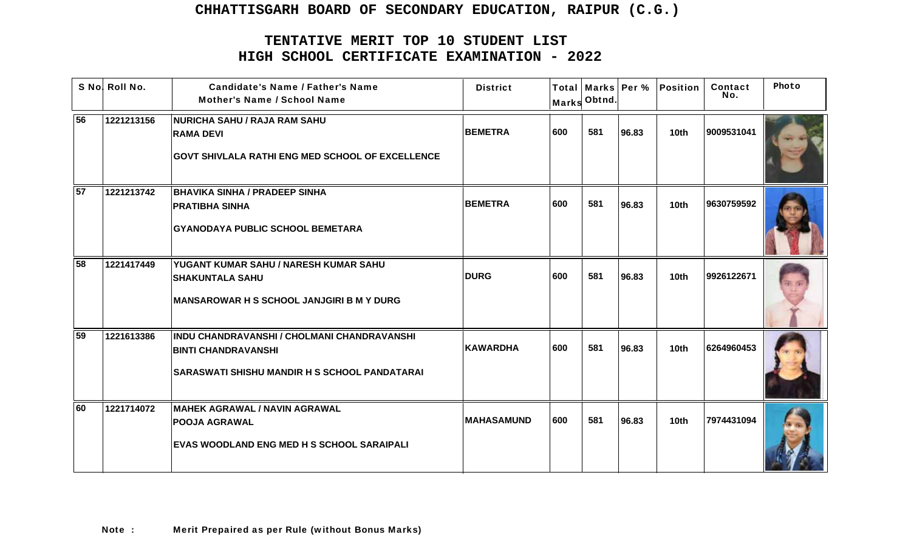|                 | S No! Roll No. | <b>Candidate's Name / Father's Name</b><br><b>Mother's Name / School Name</b>                                                     | <b>District</b>   |     | Marks Obtnd. |       | Total   Marks   Per %   Position | Contact<br>No. | Photo |
|-----------------|----------------|-----------------------------------------------------------------------------------------------------------------------------------|-------------------|-----|--------------|-------|----------------------------------|----------------|-------|
| 56              | 1221213156     | <b>NURICHA SAHU / RAJA RAM SAHU</b><br><b>RAMA DEVI</b><br><b>GOVT SHIVLALA RATHI ENG MED SCHOOL OF EXCELLENCE</b>                | <b>BEMETRA</b>    | 600 | 581          | 96.83 | 10 <sub>th</sub>                 | 9009531041     |       |
| 57              | 1221213742     | <b>BHAVIKA SINHA / PRADEEP SINHA</b><br><b>PRATIBHA SINHA</b><br><b>GYANODAYA PUBLIC SCHOOL BEMETARA</b>                          | <b>BEMETRA</b>    | 600 | 581          | 96.83 | 10th                             | 9630759592     |       |
| $\overline{58}$ | 1221417449     | YUGANT KUMAR SAHU / NARESH KUMAR SAHU<br><b>SHAKUNTALA SAHU</b><br><b>IMANSAROWAR H S SCHOOL JANJGIRI B M Y DURG</b>              | <b>DURG</b>       | 600 | 581          | 96.83 | 10 <sub>th</sub>                 | 9926122671     |       |
| $\overline{59}$ | 1221613386     | INDU CHANDRAVANSHI / CHOLMANI CHANDRAVANSHI<br><b>BINTI CHANDRAVANSHI</b><br><b>SARASWATI SHISHU MANDIR H S SCHOOL PANDATARAI</b> | <b>KAWARDHA</b>   | 600 | 581          | 96.83 | 10 <sub>th</sub>                 | 6264960453     |       |
| 60              | 1221714072     | MAHEK AGRAWAL / NAVIN AGRAWAL<br><b>POOJA AGRAWAL</b><br><b>EVAS WOODLAND ENG MED H S SCHOOL SARAIPALI</b>                        | <b>MAHASAMUND</b> | 600 | 581          | 96.83 | 10th                             | 7974431094     |       |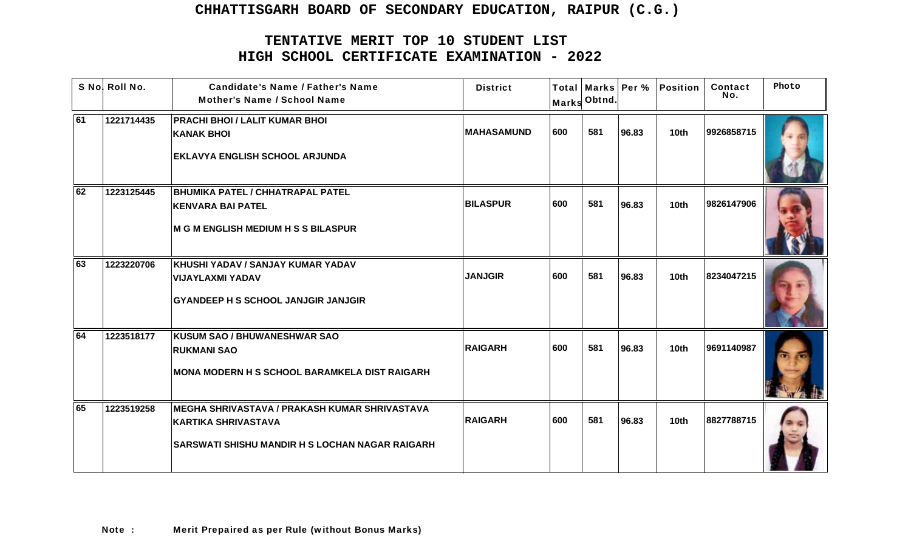|    | S No! Roll No. | <b>Candidate's Name / Father's Name</b><br><b>Mother's Name / School Name</b>                                                         | <b>District</b>    | <b>Marks</b> | Obtnd. |       | Total   Marks   Per %   Position | Contact<br>No. | Photo |
|----|----------------|---------------------------------------------------------------------------------------------------------------------------------------|--------------------|--------------|--------|-------|----------------------------------|----------------|-------|
| 61 | 1221714435     | <b>PRACHI BHOI / LALIT KUMAR BHOI</b><br><b>KANAK BHOI</b><br><b>EKLAVYA ENGLISH SCHOOL ARJUNDA</b>                                   | <b>IMAHASAMUND</b> | 600          | 581    | 96.83 | 10 <sub>th</sub>                 | 9926858715     |       |
| 62 | 1223125445     | <b>BHUMIKA PATEL / CHHATRAPAL PATEL</b><br><b>KENVARA BAI PATEL</b><br>M G M ENGLISH MEDIUM H S S BILASPUR                            | <b>BILASPUR</b>    | 600          | 581    | 96.83 | 10th                             | 9826147906     |       |
| 63 | 1223220706     | KHUSHI YADAV / SANJAY KUMAR YADAV<br><b>VIJAYLAXMI YADAV</b><br><b>GYANDEEP H S SCHOOL JANJGIR JANJGIR</b>                            | <b>JANJGIR</b>     | 600          | 581    | 96.83 | 10th                             | 8234047215     |       |
| 64 | 1223518177     | <b>KUSUM SAO / BHUWANESHWAR SAO</b><br><b>RUKMANI SAO</b><br>MONA MODERN H S SCHOOL BARAMKELA DIST RAIGARH                            | <b>RAIGARH</b>     | 600          | 581    | 96.83 | 10th                             | 9691140987     |       |
| 65 | 1223519258     | MEGHA SHRIVASTAVA / PRAKASH KUMAR SHRIVASTAVA<br><b>KARTIKA SHRIVASTAVA</b><br><b>SARSWATI SHISHU MANDIR H S LOCHAN NAGAR RAIGARH</b> | <b>RAIGARH</b>     | 600          | 581    | 96.83 | 10th                             | 8827788715     |       |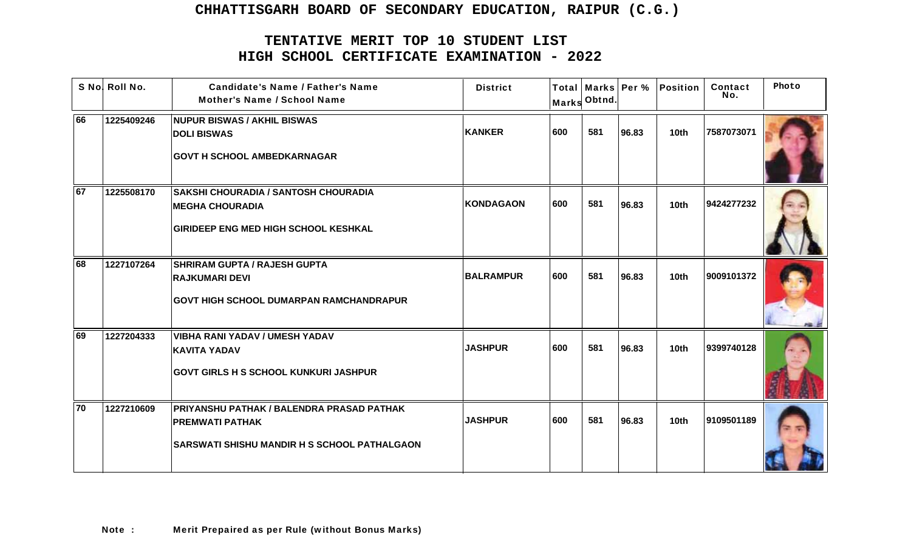|                 | S No! Roll No. | <b>Candidate's Name / Father's Name</b><br><b>Mother's Name / School Name</b>                                         | <b>District</b>  |     | Marks Obtnd. |       | Total   Marks   Per %   Position | Contact<br>No. | Photo |
|-----------------|----------------|-----------------------------------------------------------------------------------------------------------------------|------------------|-----|--------------|-------|----------------------------------|----------------|-------|
| 66              | 1225409246     | <b>NUPUR BISWAS / AKHIL BISWAS</b><br><b>DOLI BISWAS</b><br><b>GOVT H SCHOOL AMBEDKARNAGAR</b>                        | KANKER           | 600 | 581          | 96.83 | 10 <sub>th</sub>                 | 7587073071     |       |
| $\overline{67}$ | 1225508170     | <b>SAKSHI CHOURADIA / SANTOSH CHOURADIA</b><br><b>IMEGHA CHOURADIA</b><br><b>GIRIDEEP ENG MED HIGH SCHOOL KESHKAL</b> | KONDAGAON        | 600 | 581          | 96.83 | 10 <sub>th</sub>                 | 9424277232     |       |
| 68              | 1227107264     | <b>SHRIRAM GUPTA / RAJESH GUPTA</b><br><b>RAJKUMARI DEVI</b><br><b>GOVT HIGH SCHOOL DUMARPAN RAMCHANDRAPUR</b>        | <b>BALRAMPUR</b> | 600 | 581          | 96.83 | 10 <sub>th</sub>                 | 9009101372     |       |
| 69              | 1227204333     | <b>VIBHA RANI YADAV / UMESH YADAV</b><br><b>KAVITA YADAV</b><br><b>GOVT GIRLS H S SCHOOL KUNKURI JASHPUR</b>          | <b>JASHPUR</b>   | 600 | 581          | 96.83 | 10 <sub>th</sub>                 | 9399740128     |       |
| 70              | 1227210609     | PRIYANSHU PATHAK / BALENDRA PRASAD PATHAK<br><b>PREMWATI PATHAK</b><br> SARSWATI SHISHU MANDIR H S SCHOOL PATHALGAON  | <b>JASHPUR</b>   | 600 | 581          | 96.83 | 10 <sub>th</sub>                 | 9109501189     |       |